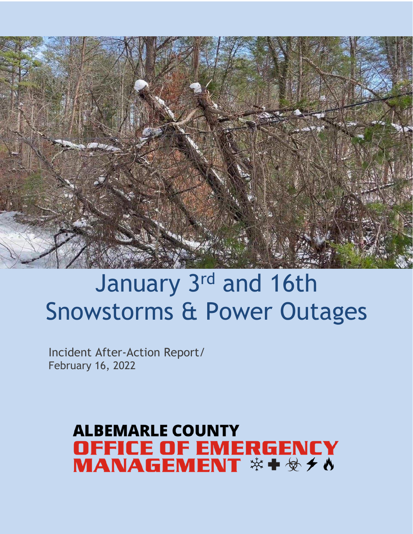

# January 3rd and 16th Snowstorms & Power Outages

Incident After-Action Report/ February 16, 2022

# **ALBEMARLE COUNTY OFFICE OF EMERGENCY**<br>MANAGEMENT \* + \* *+* 0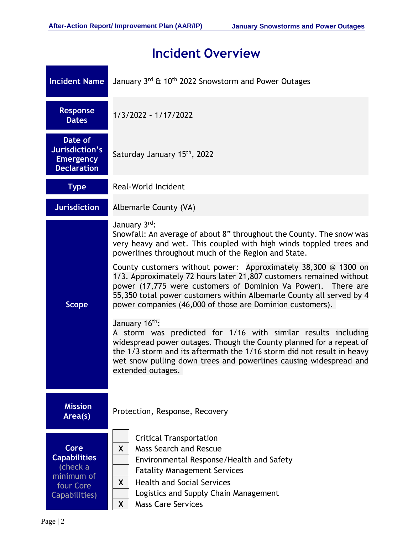# **Incident Overview**

|                   | <b>Incident Name</b>                                                        | January 3rd & 10 <sup>th</sup> 2022 Snowstorm and Power Outages                                                                                                                                                                                                                                                                                                                                                                                                                                                                                                                                                                                                                                                                                                                                                                                                                                                                             |
|-------------------|-----------------------------------------------------------------------------|---------------------------------------------------------------------------------------------------------------------------------------------------------------------------------------------------------------------------------------------------------------------------------------------------------------------------------------------------------------------------------------------------------------------------------------------------------------------------------------------------------------------------------------------------------------------------------------------------------------------------------------------------------------------------------------------------------------------------------------------------------------------------------------------------------------------------------------------------------------------------------------------------------------------------------------------|
|                   | <b>Response</b><br><b>Dates</b>                                             | $1/3/2022 - 1/17/2022$                                                                                                                                                                                                                                                                                                                                                                                                                                                                                                                                                                                                                                                                                                                                                                                                                                                                                                                      |
|                   | Date of<br>Jurisdiction's<br><b>Emergency</b><br><b>Declaration</b>         | Saturday January 15th, 2022                                                                                                                                                                                                                                                                                                                                                                                                                                                                                                                                                                                                                                                                                                                                                                                                                                                                                                                 |
|                   | <b>Type</b>                                                                 | Real-World Incident                                                                                                                                                                                                                                                                                                                                                                                                                                                                                                                                                                                                                                                                                                                                                                                                                                                                                                                         |
|                   | <b>Jurisdiction</b>                                                         | Albemarle County (VA)                                                                                                                                                                                                                                                                                                                                                                                                                                                                                                                                                                                                                                                                                                                                                                                                                                                                                                                       |
|                   | <b>Scope</b>                                                                | January 3rd:<br>Snowfall: An average of about 8" throughout the County. The snow was<br>very heavy and wet. This coupled with high winds toppled trees and<br>powerlines throughout much of the Region and State.<br>County customers without power: Approximately $38,300 \text{ } \textcircled{} 1300 \text{ on }$<br>1/3. Approximately 72 hours later 21,807 customers remained without<br>power (17,775 were customers of Dominion Va Power). There are<br>55,350 total power customers within Albemarle County all served by 4<br>power companies (46,000 of those are Dominion customers).<br>January 16 <sup>th</sup> :<br>A storm was predicted for 1/16 with similar results including<br>widespread power outages. Though the County planned for a repeat of<br>the 1/3 storm and its aftermath the 1/16 storm did not result in heavy<br>wet snow pulling down trees and powerlines causing widespread and<br>extended outages. |
|                   | <b>Mission</b><br>Area(s)                                                   | Protection, Response, Recovery                                                                                                                                                                                                                                                                                                                                                                                                                                                                                                                                                                                                                                                                                                                                                                                                                                                                                                              |
| Core<br>Page $ 2$ | <b>Capabilities</b><br>(check a<br>minimum of<br>four Core<br>Capabilities) | <b>Critical Transportation</b><br><b>Mass Search and Rescue</b><br>$\mathsf{X}$<br>Environmental Response/Health and Safety<br><b>Fatality Management Services</b><br><b>Health and Social Services</b><br>X.<br>Logistics and Supply Chain Management<br><b>Mass Care Services</b><br>X.                                                                                                                                                                                                                                                                                                                                                                                                                                                                                                                                                                                                                                                   |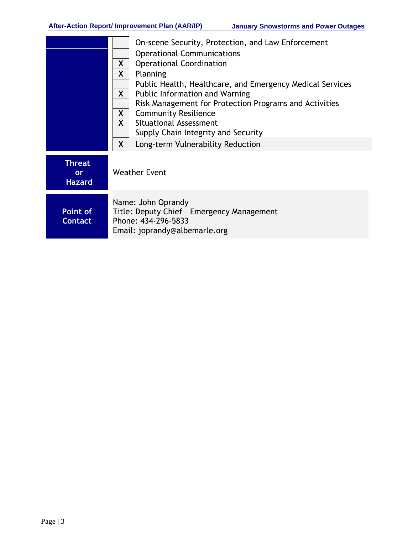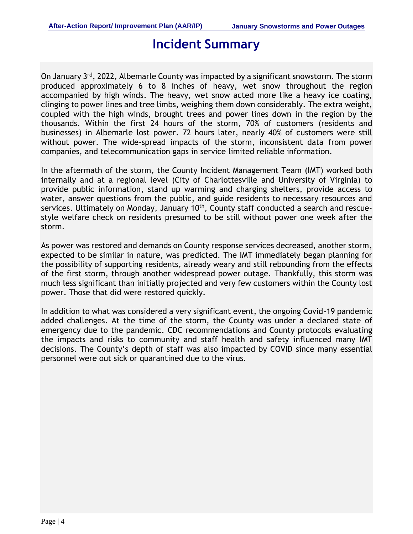## **Incident Summary**

On January 3<sup>rd</sup>, 2022, Albemarle County was impacted by a significant snowstorm. The storm produced approximately 6 to 8 inches of heavy, wet snow throughout the region accompanied by high winds. The heavy, wet snow acted more like a heavy ice coating, clinging to power lines and tree limbs, weighing them down considerably. The extra weight, coupled with the high winds, brought trees and power lines down in the region by the thousands. Within the first 24 hours of the storm, 70% of customers (residents and businesses) in Albemarle lost power. 72 hours later, nearly 40% of customers were still without power. The wide-spread impacts of the storm, inconsistent data from power companies, and telecommunication gaps in service limited reliable information.

In the aftermath of the storm, the County Incident Management Team (IMT) worked both internally and at a regional level (City of Charlottesville and University of Virginia) to provide public information, stand up warming and charging shelters, provide access to water, answer questions from the public, and guide residents to necessary resources and services. Ultimately on Monday, January 10<sup>th</sup>, County staff conducted a search and rescuestyle welfare check on residents presumed to be still without power one week after the storm.

As power was restored and demands on County response services decreased, another storm, expected to be similar in nature, was predicted. The IMT immediately began planning for the possibility of supporting residents, already weary and still rebounding from the effects of the first storm, through another widespread power outage. Thankfully, this storm was much less significant than initially projected and very few customers within the County lost power. Those that did were restored quickly.

In addition to what was considered a very significant event, the ongoing Covid-19 pandemic added challenges. At the time of the storm, the County was under a declared state of emergency due to the pandemic. CDC recommendations and County protocols evaluating the impacts and risks to community and staff health and safety influenced many IMT decisions. The County's depth of staff was also impacted by COVID since many essential personnel were out sick or quarantined due to the virus.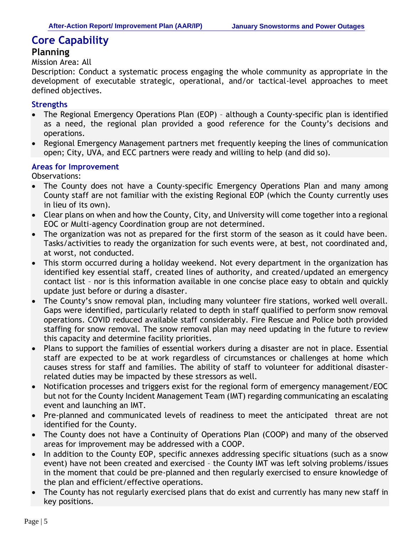#### **Planning**

#### Mission Area: All

Description: Conduct a systematic process engaging the whole community as appropriate in the development of executable strategic, operational, and/or tactical-level approaches to meet defined objectives.

#### **Strengths**

- The Regional Emergency Operations Plan (EOP) although a County-specific plan is identified as a need, the regional plan provided a good reference for the County's decisions and operations.
- Regional Emergency Management partners met frequently keeping the lines of communication open; City, UVA, and ECC partners were ready and willing to help (and did so).

#### **Areas for Improvement**

- The County does not have a County-specific Emergency Operations Plan and many among County staff are not familiar with the existing Regional EOP (which the County currently uses in lieu of its own).
- Clear plans on when and how the County, City, and University will come together into a regional EOC or Multi-agency Coordination group are not determined.
- The organization was not as prepared for the first storm of the season as it could have been. Tasks/activities to ready the organization for such events were, at best, not coordinated and, at worst, not conducted.
- This storm occurred during a holiday weekend. Not every department in the organization has identified key essential staff, created lines of authority, and created/updated an emergency contact list – nor is this information available in one concise place easy to obtain and quickly update just before or during a disaster.
- The County's snow removal plan, including many volunteer fire stations, worked well overall. Gaps were identified, particularly related to depth in staff qualified to perform snow removal operations. COVID reduced available staff considerably. Fire Rescue and Police both provided staffing for snow removal. The snow removal plan may need updating in the future to review this capacity and determine facility priorities.
- Plans to support the families of essential workers during a disaster are not in place. Essential staff are expected to be at work regardless of circumstances or challenges at home which causes stress for staff and families. The ability of staff to volunteer for additional disasterrelated duties may be impacted by these stressors as well.
- Notification processes and triggers exist for the regional form of emergency management/EOC but not for the County Incident Management Team (IMT) regarding communicating an escalating event and launching an IMT.
- Pre-planned and communicated levels of readiness to meet the anticipated threat are not identified for the County.
- The County does not have a Continuity of Operations Plan (COOP) and many of the observed areas for improvement may be addressed with a COOP.
- In addition to the County EOP, specific annexes addressing specific situations (such as a snow event) have not been created and exercised – the County IMT was left solving problems/issues in the moment that could be pre-planned and then regularly exercised to ensure knowledge of the plan and efficient/effective operations.
- The County has not regularly exercised plans that do exist and currently has many new staff in key positions.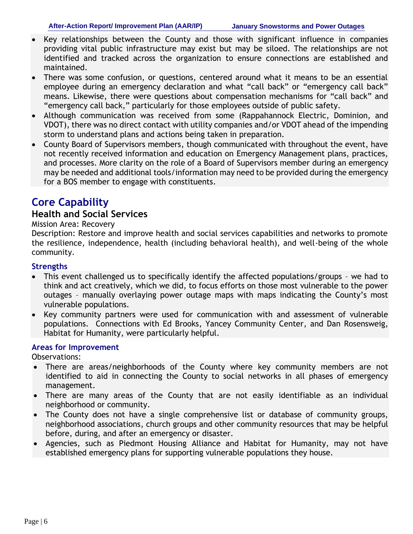- Key relationships between the County and those with significant influence in companies providing vital public infrastructure may exist but may be siloed. The relationships are not identified and tracked across the organization to ensure connections are established and maintained.
- There was some confusion, or questions, centered around what it means to be an essential employee during an emergency declaration and what "call back" or "emergency call back" means. Likewise, there were questions about compensation mechanisms for "call back" and "emergency call back," particularly for those employees outside of public safety.
- Although communication was received from some (Rappahannock Electric, Dominion, and VDOT), there was no direct contact with utility companies and/or VDOT ahead of the impending storm to understand plans and actions being taken in preparation.
- County Board of Supervisors members, though communicated with throughout the event, have not recently received information and education on Emergency Management plans, practices, and processes. More clarity on the role of a Board of Supervisors member during an emergency may be needed and additional tools/information may need to be provided during the emergency for a BOS member to engage with constituents.

#### **Health and Social Services**

#### Mission Area: Recovery

Description: Restore and improve health and social services capabilities and networks to promote the resilience, independence, health (including behavioral health), and well-being of the whole community.

#### **Strengths**

- This event challenged us to specifically identify the affected populations/groups we had to think and act creatively, which we did, to focus efforts on those most vulnerable to the power outages – manually overlaying power outage maps with maps indicating the County's most vulnerable populations.
- Key community partners were used for communication with and assessment of vulnerable populations. Connections with Ed Brooks, Yancey Community Center, and Dan Rosensweig, Habitat for Humanity, were particularly helpful.

#### **Areas for Improvement**

- There are areas/neighborhoods of the County where key community members are not identified to aid in connecting the County to social networks in all phases of emergency management.
- There are many areas of the County that are not easily identifiable as an individual neighborhood or community.
- The County does not have a single comprehensive list or database of community groups, neighborhood associations, church groups and other community resources that may be helpful before, during, and after an emergency or disaster.
- Agencies, such as Piedmont Housing Alliance and Habitat for Humanity, may not have established emergency plans for supporting vulnerable populations they house.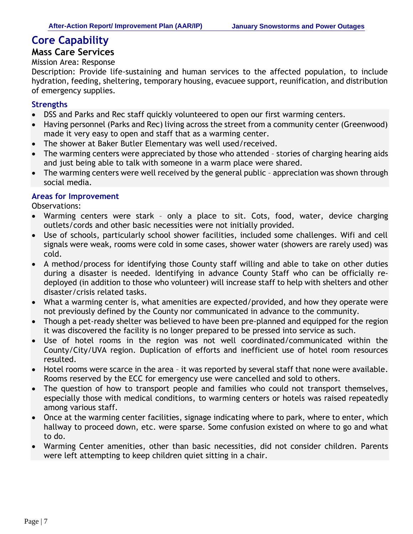## **Mass Care Services**

#### Mission Area: Response

Description: Provide life-sustaining and human services to the affected population, to include hydration, feeding, sheltering, temporary housing, evacuee support, reunification, and distribution of emergency supplies.

#### **Strengths**

- DSS and Parks and Rec staff quickly volunteered to open our first warming centers.
- Having personnel (Parks and Rec) living across the street from a community center (Greenwood) made it very easy to open and staff that as a warming center.
- The shower at Baker Butler Elementary was well used/received.
- The warming centers were appreciated by those who attended stories of charging hearing aids and just being able to talk with someone in a warm place were shared.
- The warming centers were well received by the general public appreciation was shown through social media.

#### **Areas for Improvement**

- Warming centers were stark only a place to sit. Cots, food, water, device charging outlets/cords and other basic necessities were not initially provided.
- Use of schools, particularly school shower facilities, included some challenges. Wifi and cell signals were weak, rooms were cold in some cases, shower water (showers are rarely used) was cold.
- A method/process for identifying those County staff willing and able to take on other duties during a disaster is needed. Identifying in advance County Staff who can be officially redeployed (in addition to those who volunteer) will increase staff to help with shelters and other disaster/crisis related tasks.
- What a warming center is, what amenities are expected/provided, and how they operate were not previously defined by the County nor communicated in advance to the community.
- Though a pet-ready shelter was believed to have been pre-planned and equipped for the region it was discovered the facility is no longer prepared to be pressed into service as such.
- Use of hotel rooms in the region was not well coordinated/communicated within the County/City/UVA region. Duplication of efforts and inefficient use of hotel room resources resulted.
- Hotel rooms were scarce in the area it was reported by several staff that none were available. Rooms reserved by the ECC for emergency use were cancelled and sold to others.
- The question of how to transport people and families who could not transport themselves, especially those with medical conditions, to warming centers or hotels was raised repeatedly among various staff.
- Once at the warming center facilities, signage indicating where to park, where to enter, which hallway to proceed down, etc. were sparse. Some confusion existed on where to go and what to do.
- Warming Center amenities, other than basic necessities, did not consider children. Parents were left attempting to keep children quiet sitting in a chair.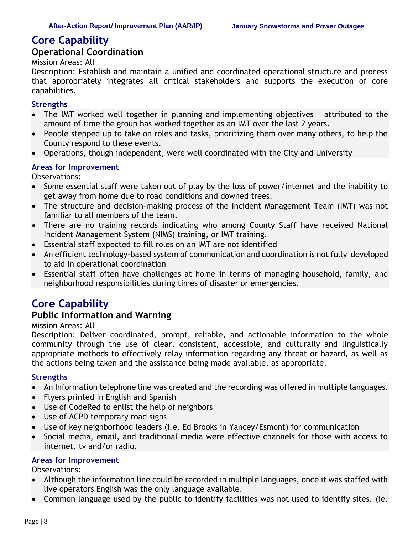#### **Operational Coordination**

Mission Areas: All

Description: Establish and maintain a unified and coordinated operational structure and process that appropriately integrates all critical stakeholders and supports the execution of core capabilities.

#### **Strengths**

- The IMT worked well together in planning and implementing objectives attributed to the amount of time the group has worked together as an IMT over the last 2 years.
- People stepped up to take on roles and tasks, prioritizing them over many others, to help the County respond to these events.
- Operations, though independent, were well coordinated with the City and University

#### **Areas for Improvement**

Observations:

- Some essential staff were taken out of play by the loss of power/internet and the inability to get away from home due to road conditions and downed trees.
- The structure and decision-making process of the Incident Management Team (IMT) was not familiar to all members of the team.
- There are no training records indicating who among County Staff have received National Incident Management System (NIMS) training, or IMT training.
- Essential staff expected to fill roles on an IMT are not identified
- An efficient technology-based system of communication and coordination is not fully developed to aid in operational coordination
- Essential staff often have challenges at home in terms of managing household, family, and neighborhood responsibilities during times of disaster or emergencies.

## **Core Capability**

#### **Public Information and Warning**

#### Mission Areas: All

Description: Deliver coordinated, prompt, reliable, and actionable information to the whole community through the use of clear, consistent, accessible, and culturally and linguistically appropriate methods to effectively relay information regarding any threat or hazard, as well as the actions being taken and the assistance being made available, as appropriate.

#### **Strengths**

- An Information telephone line was created and the recording was offered in multiple languages.
- Flyers printed in English and Spanish
- Use of CodeRed to enlist the help of neighbors
- Use of ACPD temporary road signs
- Use of key neighborhood leaders (i.e. Ed Brooks in Yancey/Esmont) for communication
- Social media, email, and traditional media were effective channels for those with access to internet, tv and/or radio.

#### **Areas for Improvement**

- Although the information line could be recorded in multiple languages, once it was staffed with live operators English was the only language available.
- Common language used by the public to identify facilities was not used to identify sites. (ie.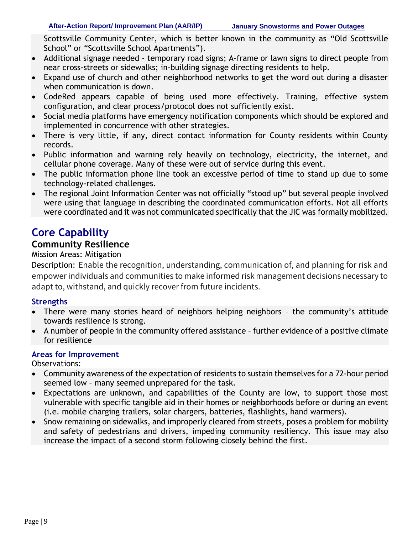Scottsville Community Center, which is better known in the community as "Old Scottsville School" or "Scottsville School Apartments").

- Additional signage needed temporary road signs; A-frame or lawn signs to direct people from near cross-streets or sidewalks; in-building signage directing residents to help.
- Expand use of church and other neighborhood networks to get the word out during a disaster when communication is down.
- CodeRed appears capable of being used more effectively. Training, effective system configuration, and clear process/protocol does not sufficiently exist.
- Social media platforms have emergency notification components which should be explored and implemented in concurrence with other strategies.
- There is very little, if any, direct contact information for County residents within County records.
- Public information and warning rely heavily on technology, electricity, the internet, and cellular phone coverage. Many of these were out of service during this event.
- The public information phone line took an excessive period of time to stand up due to some technology-related challenges.
- The regional Joint Information Center was not officially "stood up" but several people involved were using that language in describing the coordinated communication efforts. Not all efforts were coordinated and it was not communicated specifically that the JIC was formally mobilized.

## **Core Capability**

### **Community Resilience**

#### Mission Areas: Mitigation

Description: Enable the recognition, understanding, communication of, and planning for risk and empower individuals and communities to make informed risk management decisions necessary to adapt to, withstand, and quickly recover from future incidents.

#### **Strengths**

- There were many stories heard of neighbors helping neighbors the community's attitude towards resilience is strong.
- A number of people in the community offered assistance further evidence of a positive climate for resilience

#### **Areas for Improvement**

- Community awareness of the expectation of residents to sustain themselves for a 72-hour period seemed low – many seemed unprepared for the task.
- Expectations are unknown, and capabilities of the County are low, to support those most vulnerable with specific tangible aid in their homes or neighborhoods before or during an event (i.e. mobile charging trailers, solar chargers, batteries, flashlights, hand warmers).
- Snow remaining on sidewalks, and improperly cleared from streets, poses a problem for mobility and safety of pedestrians and drivers, impeding community resiliency. This issue may also increase the impact of a second storm following closely behind the first.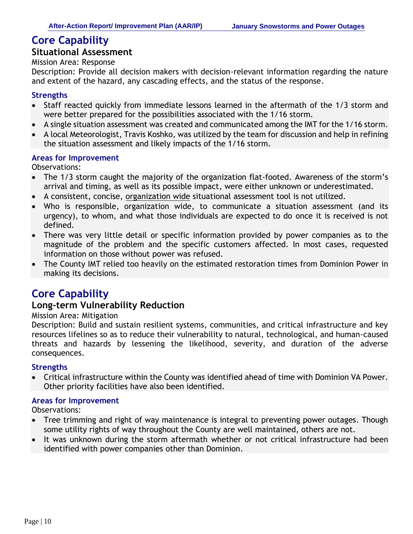#### **Situational Assessment**

Mission Area: Response

Description: Provide all decision makers with decision-relevant information regarding the nature and extent of the hazard, any cascading effects, and the status of the response.

#### **Strengths**

- Staff reacted quickly from immediate lessons learned in the aftermath of the 1/3 storm and were better prepared for the possibilities associated with the 1/16 storm.
- A single situation assessment was created and communicated among the IMT for the 1/16 storm.
- A local Meteorologist, Travis Koshko, was utilized by the team for discussion and help in refining the situation assessment and likely impacts of the 1/16 storm.

#### **Areas for Improvement**

Observations:

- The 1/3 storm caught the majority of the organization flat-footed. Awareness of the storm's arrival and timing, as well as its possible impact, were either unknown or underestimated.
- A consistent, concise, organization wide situational assessment tool is not utilized.
- Who is responsible, organization wide, to communicate a situation assessment (and its urgency), to whom, and what those individuals are expected to do once it is received is not defined.
- There was very little detail or specific information provided by power companies as to the magnitude of the problem and the specific customers affected. In most cases, requested information on those without power was refused.
- The County IMT relied too heavily on the estimated restoration times from Dominion Power in making its decisions.

## **Core Capability**

#### **Long-term Vulnerability Reduction**

#### Mission Area: Mitigation

Description: Build and sustain resilient systems, communities, and critical infrastructure and key resources lifelines so as to reduce their vulnerability to natural, technological, and human-caused threats and hazards by lessening the likelihood, severity, and duration of the adverse consequences.

#### **Strengths**

• Critical infrastructure within the County was identified ahead of time with Dominion VA Power. Other priority facilities have also been identified.

#### **Areas for Improvement**

- Tree trimming and right of way maintenance is integral to preventing power outages. Though some utility rights of way throughout the County are well maintained, others are not.
- It was unknown during the storm aftermath whether or not critical infrastructure had been identified with power companies other than Dominion.